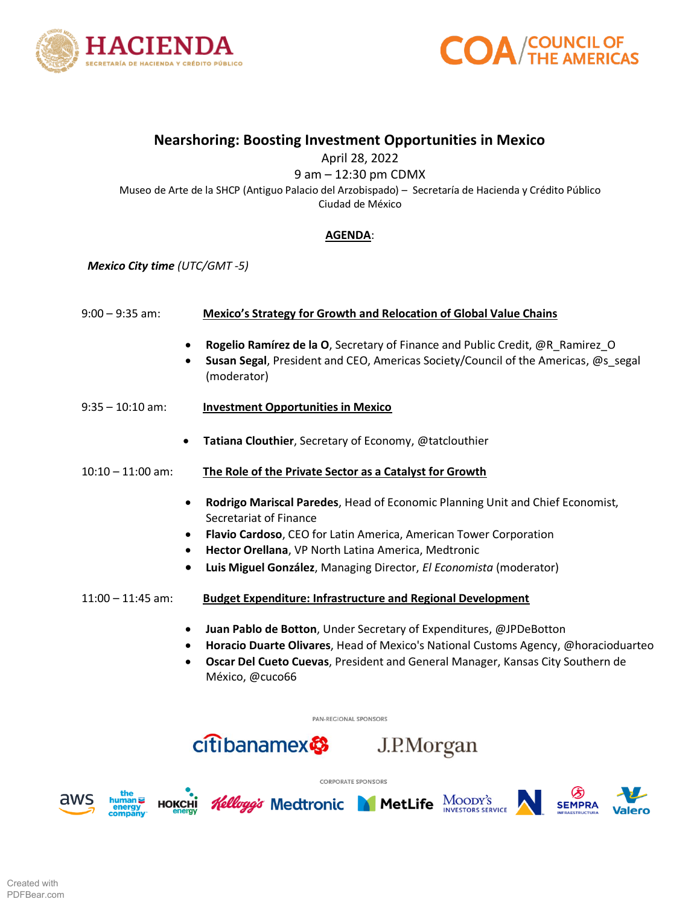



## **Nearshoring: Boosting Investment Opportunities in Mexico**

April 28, 2022

9 am – 12:30 pm CDMX Museo de Arte de la SHCP (Antiguo Palacio del Arzobispado) – Secretaría de Hacienda y Crédito Público Ciudad de México

## **AGENDA**:

*Mexico City time (UTC/GMT -5)*

| $9:00 - 9:35$ am: | Mexico's Strategy for Growth and Relocation of Global Value Chains |
|-------------------|--------------------------------------------------------------------|
|                   |                                                                    |

- **Rogelio Ramírez de la O**, Secretary of Finance and Public Credit, @R\_Ramirez\_O
- **Susan Segal**, President and CEO, Americas Society/Council of the Americas, @s\_segal (moderator)
- 9:35 10:10 am: **Investment Opportunities in Mexico**
	- **Tatiana Clouthier**, Secretary of Economy, @tatclouthier
- 10:10 11:00 am: **The Role of the Private Sector as a Catalyst for Growth**
	- **Rodrigo Mariscal Paredes**, Head of Economic Planning Unit and Chief Economist, Secretariat of Finance
	- **Flavio Cardoso**, CEO for Latin America, American Tower Corporation
	- **Hector Orellana**, VP North Latina America, Medtronic
	- **Luis Miguel González**, Managing Director, *El Economista* (moderator)
- 11:00 11:45 am: **Budget Expenditure: Infrastructure and Regional Development**
	- **Juan Pablo de Botton**, Under Secretary of Expenditures, @JPDeBotton
	- **Horacio Duarte Olivares**, Head of Mexico's National Customs Agency, @horacioduarteo

J.P.Morgan

• **Oscar Del Cueto Cuevas**, President and General Manager, Kansas City Southern de México, @cuco66

PAN-REGIONAL SPONSORS

**CORPORATE SPONSORS** 

aws





citibanamex

*Kelloggis Medtronic MetLife MOODY's*